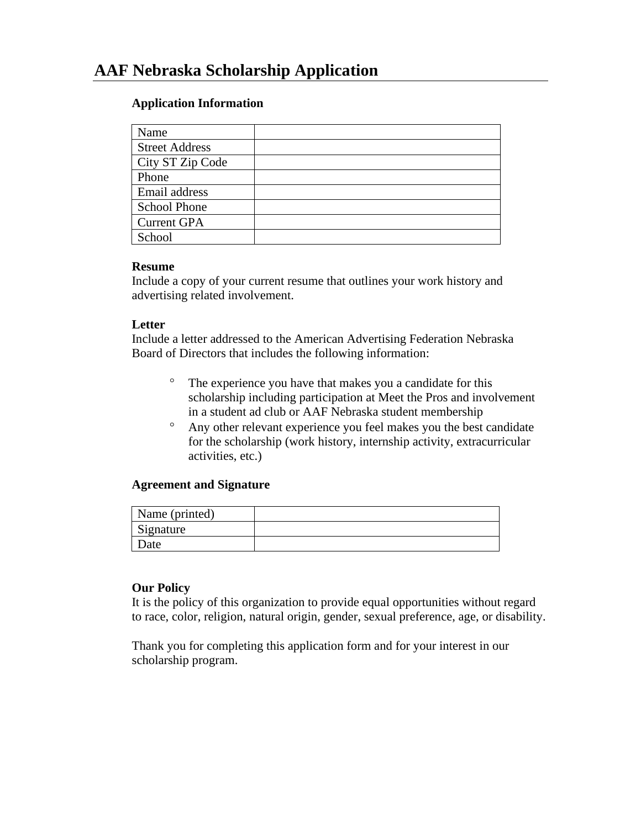# **Application Information**

| Name                  |  |
|-----------------------|--|
| <b>Street Address</b> |  |
| City ST Zip Code      |  |
| Phone                 |  |
| Email address         |  |
| <b>School Phone</b>   |  |
| <b>Current GPA</b>    |  |
| School                |  |

# **Resume**

Include a copy of your current resume that outlines your work history and advertising related involvement.

# **Letter**

Include a letter addressed to the American Advertising Federation Nebraska Board of Directors that includes the following information:

- <sup>o</sup> The experience you have that makes you a candidate for this scholarship including participation at Meet the Pros and involvement in a student ad club or AAF Nebraska student membership
- Any other relevant experience you feel makes you the best candidate for the scholarship (work history, internship activity, extracurricular activities, etc.)

### **Agreement and Signature**

| Name (printed) |  |
|----------------|--|
| Signature      |  |
| Date           |  |

### **Our Policy**

It is the policy of this organization to provide equal opportunities without regard to race, color, religion, natural origin, gender, sexual preference, age, or disability.

Thank you for completing this application form and for your interest in our scholarship program.